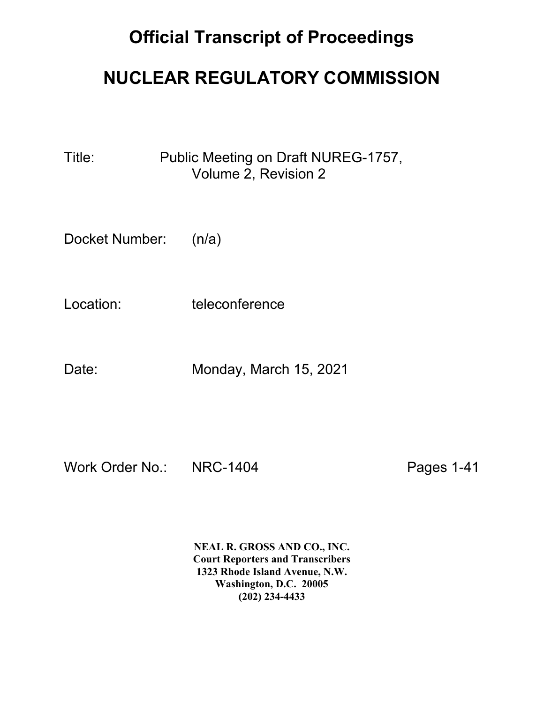## **Official Transcript of Proceedings**

## **NUCLEAR REGULATORY COMMISSION**

Title: Public Meeting on Draft NUREG-1757, Volume 2, Revision 2

Docket Number: (n/a)

Location: teleconference

Date: Monday, March 15, 2021

Work Order No.: NRC-1404 Pages 1-41

**NEAL R. GROSS AND CO., INC. Court Reporters and Transcribers 1323 Rhode Island Avenue, N.W. Washington, D.C. 20005 (202) 234-4433**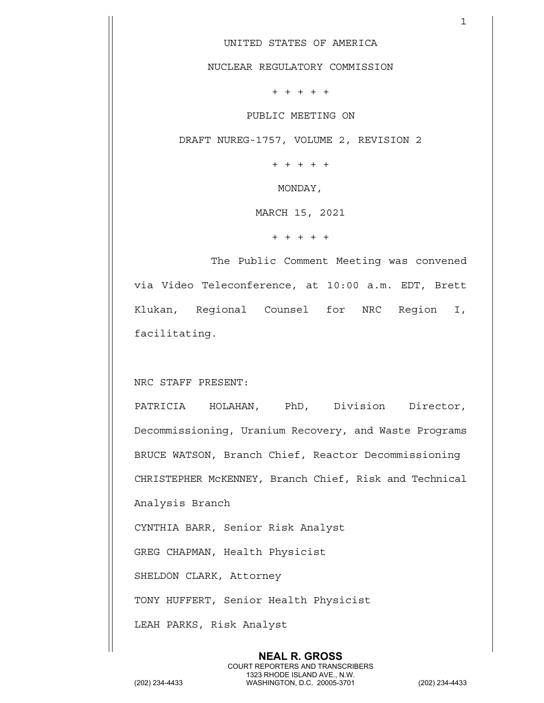UNITED STATES OF AMERICA

 $\mathbf{1}$ 

NUCLEAR REGULATORY COMMISSION

+ + + + +

PUBLIC MEETING ON

DRAFT NUREG-1757, VOLUME 2, REVISION 2

+ + + + +

MONDAY,

MARCH 15, 2021

+ + + + +

The Public Comment Meeting was convened via Video Teleconference, at 10:00 a.m. EDT, Brett Klukan, Regional Counsel for NRC Region I, facilitating.

NRC STAFF PRESENT:

PATRICIA HOLAHAN, PhD, Division Director, Decommissioning, Uranium Recovery, and Waste Programs BRUCE WATSON, Branch Chief, Reactor Decommissioning CHRISTEPHER McKENNEY, Branch Chief, Risk and Technical Analysis Branch

CYNTHIA BARR, Senior Risk Analyst

GREG CHAPMAN, Health Physicist

SHELDON CLARK, Attorney

TONY HUFFERT, Senior Health Physicist

LEAH PARKS, Risk Analyst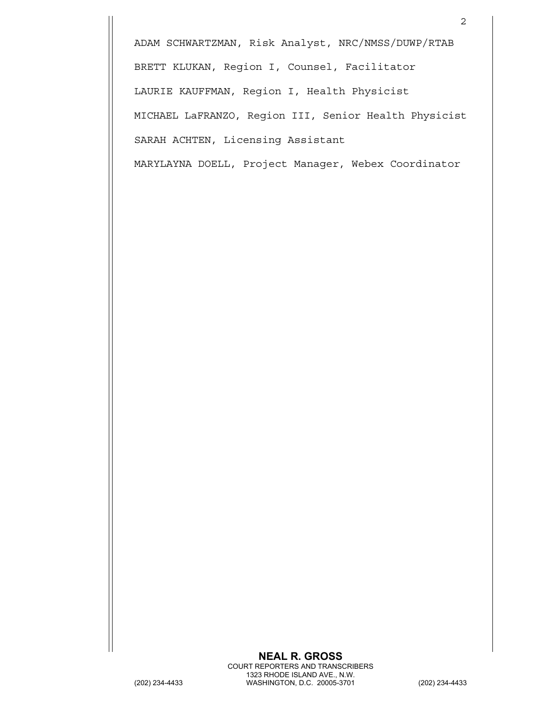ADAM SCHWARTZMAN, Risk Analyst, NRC/NMSS/DUWP/RTAB BRETT KLUKAN, Region I, Counsel, Facilitator LAURIE KAUFFMAN, Region I, Health Physicist MICHAEL LaFRANZO, Region III, Senior Health Physicist SARAH ACHTEN, Licensing Assistant

MARYLAYNA DOELL, Project Manager, Webex Coordinator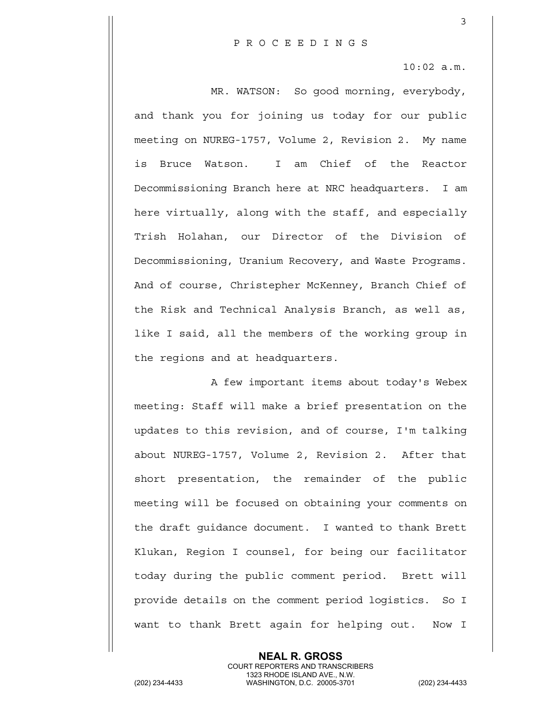3

10:02 a.m.

MR. WATSON: So good morning, everybody, and thank you for joining us today for our public meeting on NUREG-1757, Volume 2, Revision 2. My name is Bruce Watson. I am Chief of the Reactor Decommissioning Branch here at NRC headquarters. I am here virtually, along with the staff, and especially Trish Holahan, our Director of the Division of Decommissioning, Uranium Recovery, and Waste Programs. And of course, Christepher McKenney, Branch Chief of the Risk and Technical Analysis Branch, as well as, like I said, all the members of the working group in the regions and at headquarters.

A few important items about today's Webex meeting: Staff will make a brief presentation on the updates to this revision, and of course, I'm talking about NUREG-1757, Volume 2, Revision 2. After that short presentation, the remainder of the public meeting will be focused on obtaining your comments on the draft guidance document. I wanted to thank Brett Klukan, Region I counsel, for being our facilitator today during the public comment period. Brett will provide details on the comment period logistics. So I want to thank Brett again for helping out. Now I

> **NEAL R. GROSS** COURT REPORTERS AND TRANSCRIBERS

1323 RHODE ISLAND AVE., N.W.<br>WASHINGTON, D.C. 20005-3701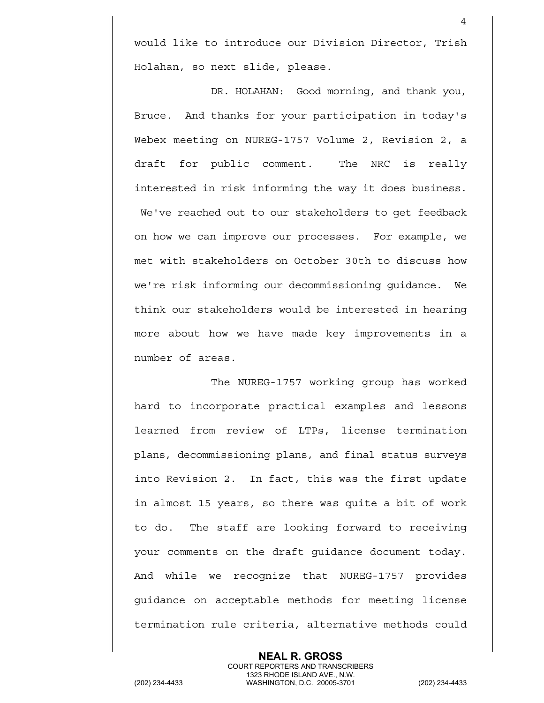would like to introduce our Division Director, Trish Holahan, so next slide, please.

4

DR. HOLAHAN: Good morning, and thank you, Bruce. And thanks for your participation in today's Webex meeting on NUREG-1757 Volume 2, Revision 2, a draft for public comment. The NRC is really interested in risk informing the way it does business. We've reached out to our stakeholders to get feedback on how we can improve our processes. For example, we met with stakeholders on October 30th to discuss how we're risk informing our decommissioning guidance. We think our stakeholders would be interested in hearing more about how we have made key improvements in a number of areas.

The NUREG-1757 working group has worked hard to incorporate practical examples and lessons learned from review of LTPs, license termination plans, decommissioning plans, and final status surveys into Revision 2. In fact, this was the first update in almost 15 years, so there was quite a bit of work to do. The staff are looking forward to receiving your comments on the draft guidance document today. And while we recognize that NUREG-1757 provides guidance on acceptable methods for meeting license termination rule criteria, alternative methods could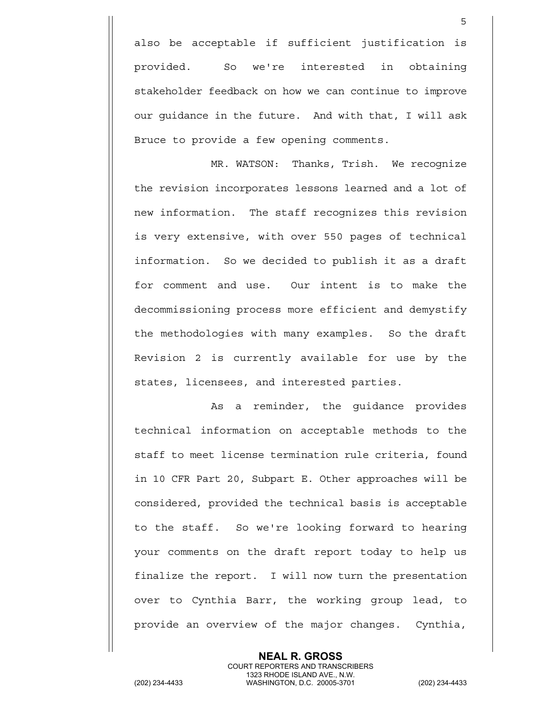also be acceptable if sufficient justification is provided. So we're interested in obtaining stakeholder feedback on how we can continue to improve our guidance in the future. And with that, I will ask Bruce to provide a few opening comments.

 $\sim$  5

MR. WATSON: Thanks, Trish. We recognize the revision incorporates lessons learned and a lot of new information. The staff recognizes this revision is very extensive, with over 550 pages of technical information. So we decided to publish it as a draft for comment and use. Our intent is to make the decommissioning process more efficient and demystify the methodologies with many examples. So the draft Revision 2 is currently available for use by the states, licensees, and interested parties.

As a reminder, the guidance provides technical information on acceptable methods to the staff to meet license termination rule criteria, found in 10 CFR Part 20, Subpart E. Other approaches will be considered, provided the technical basis is acceptable to the staff. So we're looking forward to hearing your comments on the draft report today to help us finalize the report. I will now turn the presentation over to Cynthia Barr, the working group lead, to provide an overview of the major changes. Cynthia,

**NEAL R. GROSS** COURT REPORTERS AND TRANSCRIBERS 1323 RHODE ISLAND AVE., N.W.<br>WASHINGTON, D.C. 20005-3701 (202) 234-4433 WASHINGTON, D.C. 20005-3701 (202) 234-4433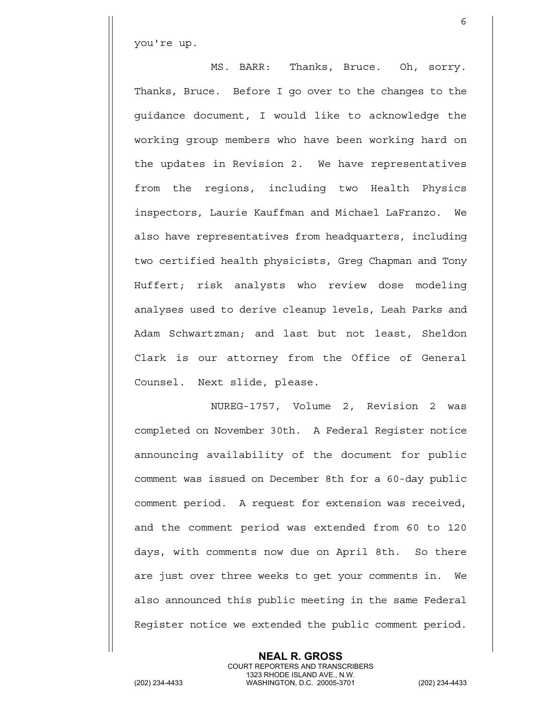you're up.

MS. BARR: Thanks, Bruce. Oh, sorry. Thanks, Bruce. Before I go over to the changes to the guidance document, I would like to acknowledge the working group members who have been working hard on the updates in Revision 2. We have representatives from the regions, including two Health Physics inspectors, Laurie Kauffman and Michael LaFranzo. We also have representatives from headquarters, including two certified health physicists, Greg Chapman and Tony Huffert; risk analysts who review dose modeling analyses used to derive cleanup levels, Leah Parks and Adam Schwartzman; and last but not least, Sheldon Clark is our attorney from the Office of General Counsel. Next slide, please.

 $6<sup>o</sup>$ 

NUREG-1757, Volume 2, Revision 2 was completed on November 30th. A Federal Register notice announcing availability of the document for public comment was issued on December 8th for a 60-day public comment period. A request for extension was received, and the comment period was extended from 60 to 120 days, with comments now due on April 8th. So there are just over three weeks to get your comments in. We also announced this public meeting in the same Federal Register notice we extended the public comment period.

**NEAL R. GROSS**

 COURT REPORTERS AND TRANSCRIBERS 1323 RHODE ISLAND AVE., N.W.<br>WASHINGTON, D.C. 20005-3701 (202) 234-4433 WASHINGTON, D.C. 20005-3701 (202) 234-4433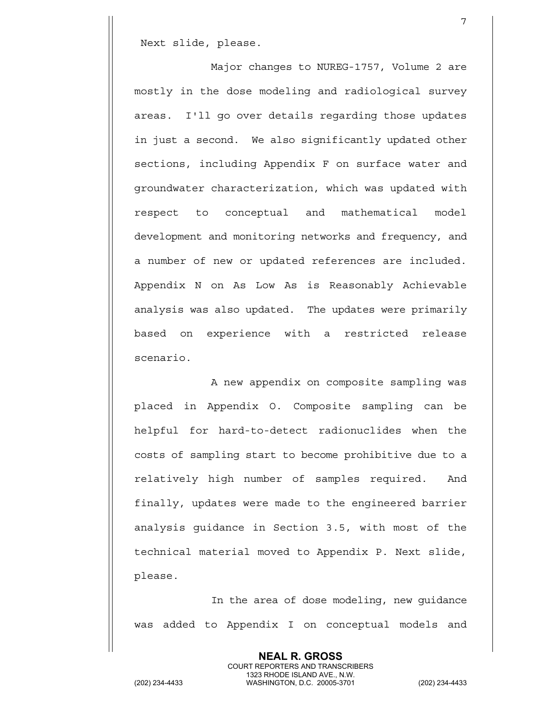Next slide, please.

Major changes to NUREG-1757, Volume 2 are mostly in the dose modeling and radiological survey areas. I'll go over details regarding those updates in just a second. We also significantly updated other sections, including Appendix F on surface water and groundwater characterization, which was updated with respect to conceptual and mathematical model development and monitoring networks and frequency, and a number of new or updated references are included. Appendix N on As Low As is Reasonably Achievable analysis was also updated. The updates were primarily based on experience with a restricted release scenario.

7

A new appendix on composite sampling was placed in Appendix O. Composite sampling can be helpful for hard-to-detect radionuclides when the costs of sampling start to become prohibitive due to a relatively high number of samples required. And finally, updates were made to the engineered barrier analysis guidance in Section 3.5, with most of the technical material moved to Appendix P. Next slide, please.

In the area of dose modeling, new guidance was added to Appendix I on conceptual models and

**NEAL R. GROSS** COURT REPORTERS AND TRANSCRIBERS 1323 RHODE ISLAND AVE., N.W.<br>WASHINGTON, D.C. 20005-3701 (202) 234-4433 WASHINGTON, D.C. 20005-3701 (202) 234-4433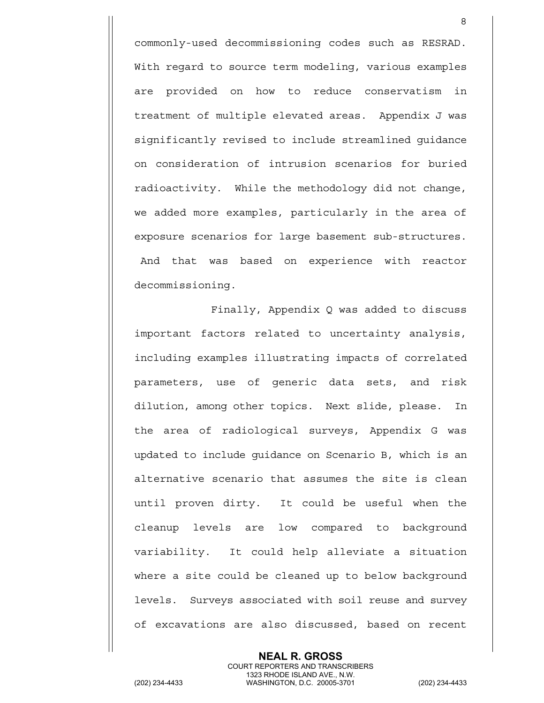commonly-used decommissioning codes such as RESRAD. With regard to source term modeling, various examples are provided on how to reduce conservatism in treatment of multiple elevated areas. Appendix J was significantly revised to include streamlined guidance on consideration of intrusion scenarios for buried radioactivity. While the methodology did not change, we added more examples, particularly in the area of exposure scenarios for large basement sub-structures. And that was based on experience with reactor decommissioning.

8

Finally, Appendix Q was added to discuss important factors related to uncertainty analysis, including examples illustrating impacts of correlated parameters, use of generic data sets, and risk dilution, among other topics. Next slide, please. In the area of radiological surveys, Appendix G was updated to include guidance on Scenario B, which is an alternative scenario that assumes the site is clean until proven dirty. It could be useful when the cleanup levels are low compared to background variability. It could help alleviate a situation where a site could be cleaned up to below background levels. Surveys associated with soil reuse and survey of excavations are also discussed, based on recent

> **NEAL R. GROSS** COURT REPORTERS AND TRANSCRIBERS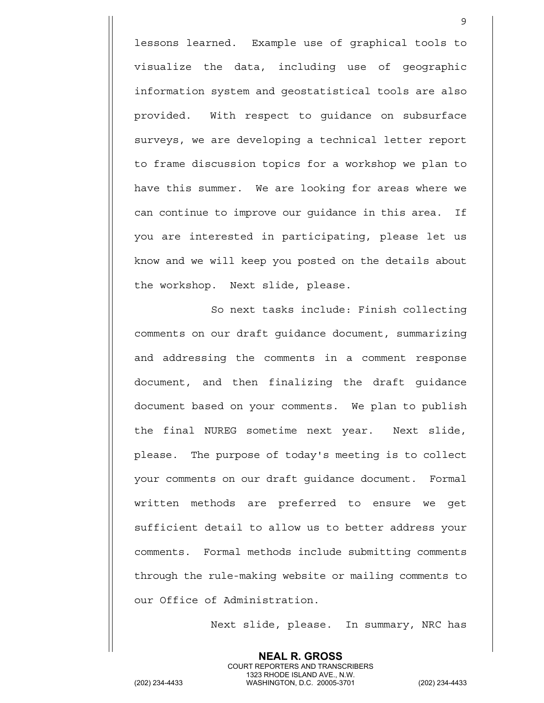lessons learned. Example use of graphical tools to visualize the data, including use of geographic information system and geostatistical tools are also provided. With respect to guidance on subsurface surveys, we are developing a technical letter report to frame discussion topics for a workshop we plan to have this summer. We are looking for areas where we can continue to improve our guidance in this area. If you are interested in participating, please let us know and we will keep you posted on the details about the workshop. Next slide, please.

So next tasks include: Finish collecting comments on our draft guidance document, summarizing and addressing the comments in a comment response document, and then finalizing the draft guidance document based on your comments. We plan to publish the final NUREG sometime next year. Next slide, please. The purpose of today's meeting is to collect your comments on our draft guidance document. Formal written methods are preferred to ensure we get sufficient detail to allow us to better address your comments. Formal methods include submitting comments through the rule-making website or mailing comments to our Office of Administration.

Next slide, please. In summary, NRC has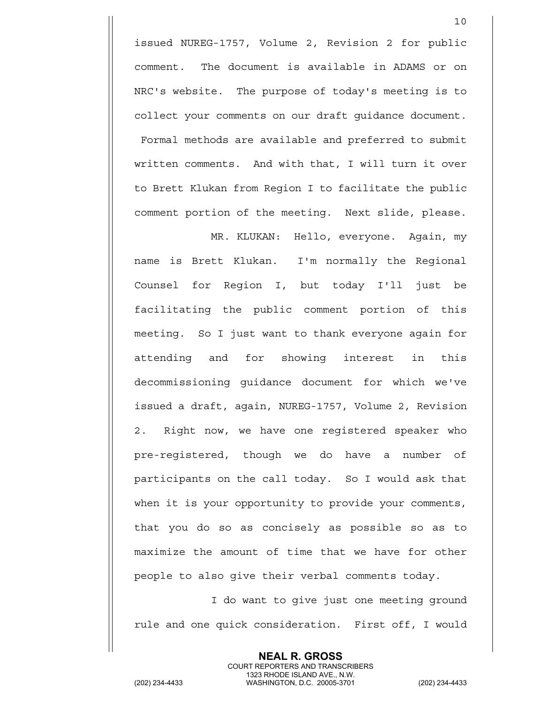issued NUREG-1757, Volume 2, Revision 2 for public comment. The document is available in ADAMS or on NRC's website. The purpose of today's meeting is to collect your comments on our draft guidance document. Formal methods are available and preferred to submit written comments. And with that, I will turn it over to Brett Klukan from Region I to facilitate the public comment portion of the meeting. Next slide, please.

10

MR. KLUKAN: Hello, everyone. Again, my name is Brett Klukan. I'm normally the Regional Counsel for Region I, but today I'll just be facilitating the public comment portion of this meeting. So I just want to thank everyone again for attending and for showing interest in this decommissioning guidance document for which we've issued a draft, again, NUREG-1757, Volume 2, Revision 2. Right now, we have one registered speaker who pre-registered, though we do have a number of participants on the call today. So I would ask that when it is your opportunity to provide your comments, that you do so as concisely as possible so as to maximize the amount of time that we have for other people to also give their verbal comments today.

I do want to give just one meeting ground rule and one quick consideration. First off, I would

> **NEAL R. GROSS** COURT REPORTERS AND TRANSCRIBERS

1323 RHODE ISLAND AVE., N.W.<br>WASHINGTON, D.C. 20005-3701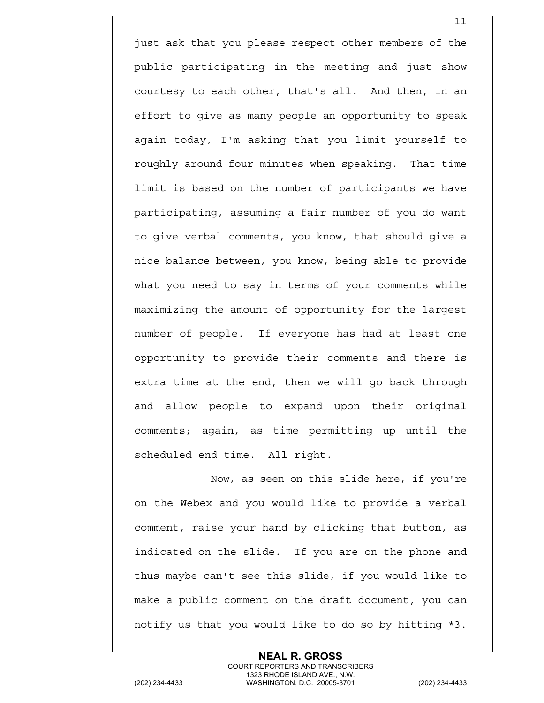just ask that you please respect other members of the public participating in the meeting and just show courtesy to each other, that's all. And then, in an effort to give as many people an opportunity to speak again today, I'm asking that you limit yourself to roughly around four minutes when speaking. That time limit is based on the number of participants we have participating, assuming a fair number of you do want to give verbal comments, you know, that should give a nice balance between, you know, being able to provide what you need to say in terms of your comments while maximizing the amount of opportunity for the largest number of people. If everyone has had at least one opportunity to provide their comments and there is extra time at the end, then we will go back through and allow people to expand upon their original comments; again, as time permitting up until the scheduled end time. All right.

11

Now, as seen on this slide here, if you're on the Webex and you would like to provide a verbal comment, raise your hand by clicking that button, as indicated on the slide. If you are on the phone and thus maybe can't see this slide, if you would like to make a public comment on the draft document, you can notify us that you would like to do so by hitting \*3.

> **NEAL R. GROSS** COURT REPORTERS AND TRANSCRIBERS

1323 RHODE ISLAND AVE., N.W.<br>WASHINGTON, D.C. 20005-3701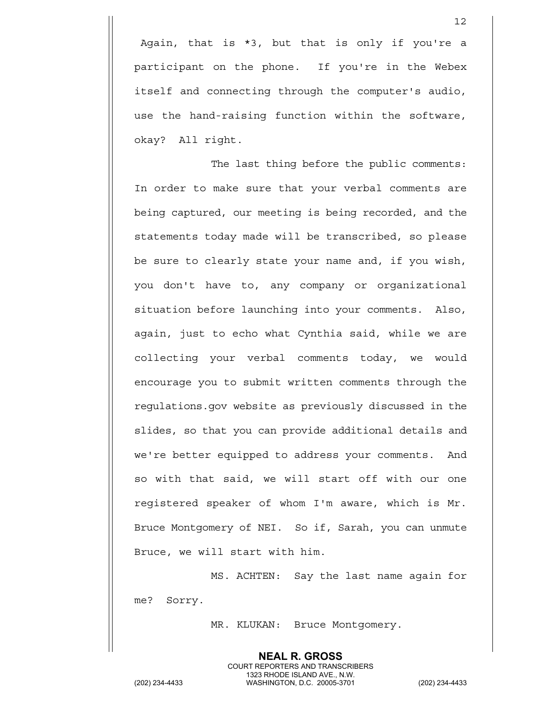Again, that is \*3, but that is only if you're a participant on the phone. If you're in the Webex itself and connecting through the computer's audio, use the hand-raising function within the software, okay? All right.

The last thing before the public comments: In order to make sure that your verbal comments are being captured, our meeting is being recorded, and the statements today made will be transcribed, so please be sure to clearly state your name and, if you wish, you don't have to, any company or organizational situation before launching into your comments. Also, again, just to echo what Cynthia said, while we are collecting your verbal comments today, we would encourage you to submit written comments through the regulations.gov website as previously discussed in the slides, so that you can provide additional details and we're better equipped to address your comments. And so with that said, we will start off with our one registered speaker of whom I'm aware, which is Mr. Bruce Montgomery of NEI. So if, Sarah, you can unmute Bruce, we will start with him.

MS. ACHTEN: Say the last name again for me? Sorry.

MR. KLUKAN: Bruce Montgomery.

**NEAL R. GROSS**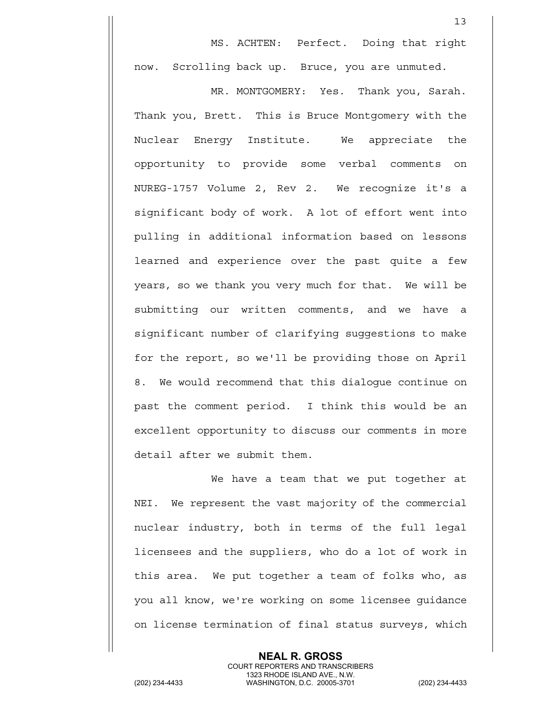MS. ACHTEN: Perfect. Doing that right now. Scrolling back up. Bruce, you are unmuted.

13

MR. MONTGOMERY: Yes. Thank you, Sarah. Thank you, Brett. This is Bruce Montgomery with the Nuclear Energy Institute. We appreciate the opportunity to provide some verbal comments on NUREG-1757 Volume 2, Rev 2. We recognize it's a significant body of work. A lot of effort went into pulling in additional information based on lessons learned and experience over the past quite a few years, so we thank you very much for that. We will be submitting our written comments, and we have a significant number of clarifying suggestions to make for the report, so we'll be providing those on April 8. We would recommend that this dialogue continue on past the comment period. I think this would be an excellent opportunity to discuss our comments in more detail after we submit them.

We have a team that we put together at NEI. We represent the vast majority of the commercial nuclear industry, both in terms of the full legal licensees and the suppliers, who do a lot of work in this area. We put together a team of folks who, as you all know, we're working on some licensee guidance on license termination of final status surveys, which

> **NEAL R. GROSS** COURT REPORTERS AND TRANSCRIBERS

1323 RHODE ISLAND AVE., N.W.<br>WASHINGTON, D.C. 20005-3701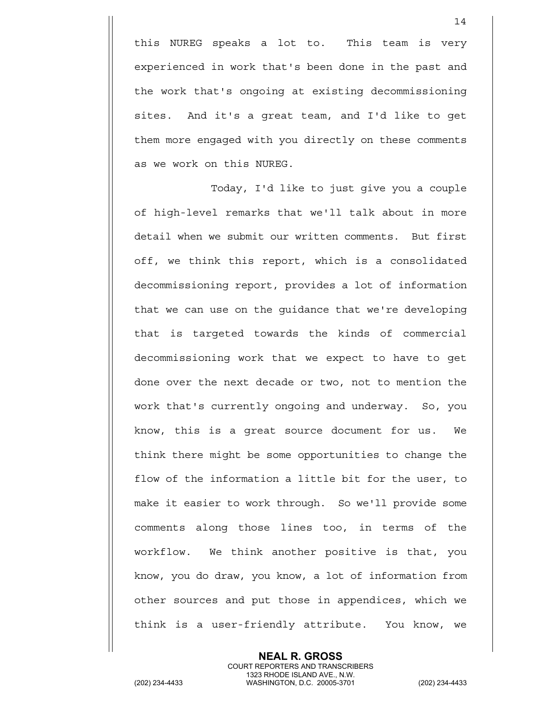this NUREG speaks a lot to. This team is very experienced in work that's been done in the past and the work that's ongoing at existing decommissioning sites. And it's a great team, and I'd like to get them more engaged with you directly on these comments as we work on this NUREG.

Today, I'd like to just give you a couple of high-level remarks that we'll talk about in more detail when we submit our written comments. But first off, we think this report, which is a consolidated decommissioning report, provides a lot of information that we can use on the guidance that we're developing that is targeted towards the kinds of commercial decommissioning work that we expect to have to get done over the next decade or two, not to mention the work that's currently ongoing and underway. So, you know, this is a great source document for us. We think there might be some opportunities to change the flow of the information a little bit for the user, to make it easier to work through. So we'll provide some comments along those lines too, in terms of the workflow. We think another positive is that, you know, you do draw, you know, a lot of information from other sources and put those in appendices, which we think is a user-friendly attribute. You know, we

> **NEAL R. GROSS** COURT REPORTERS AND TRANSCRIBERS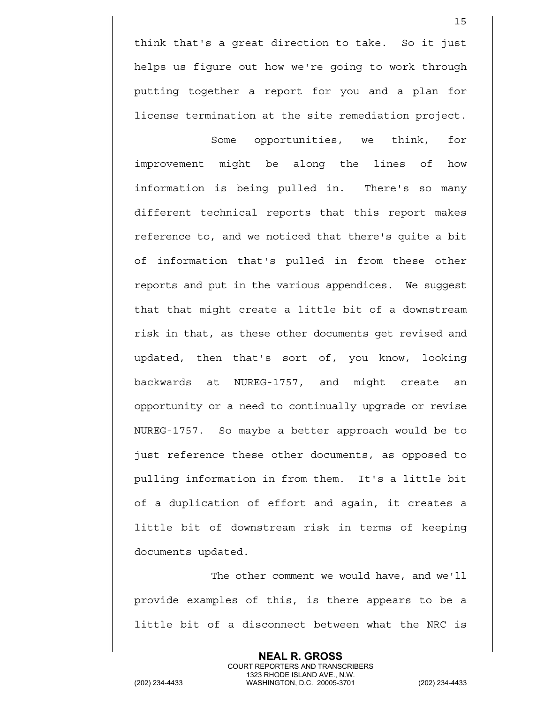think that's a great direction to take. So it just helps us figure out how we're going to work through putting together a report for you and a plan for license termination at the site remediation project.

15

Some opportunities, we think, for improvement might be along the lines of how information is being pulled in. There's so many different technical reports that this report makes reference to, and we noticed that there's quite a bit of information that's pulled in from these other reports and put in the various appendices. We suggest that that might create a little bit of a downstream risk in that, as these other documents get revised and updated, then that's sort of, you know, looking backwards at NUREG-1757, and might create an opportunity or a need to continually upgrade or revise NUREG-1757. So maybe a better approach would be to just reference these other documents, as opposed to pulling information in from them. It's a little bit of a duplication of effort and again, it creates a little bit of downstream risk in terms of keeping documents updated.

The other comment we would have, and we'll provide examples of this, is there appears to be a little bit of a disconnect between what the NRC is

> **NEAL R. GROSS** COURT REPORTERS AND TRANSCRIBERS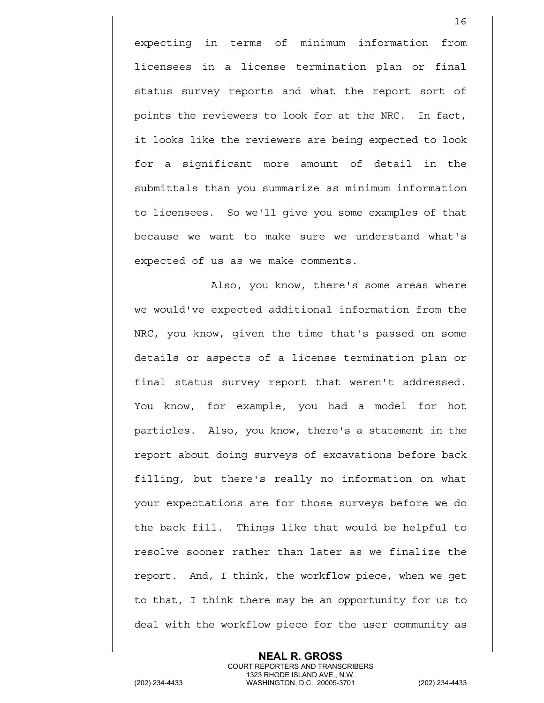expecting in terms of minimum information from licensees in a license termination plan or final status survey reports and what the report sort of points the reviewers to look for at the NRC. In fact, it looks like the reviewers are being expected to look for a significant more amount of detail in the submittals than you summarize as minimum information to licensees. So we'll give you some examples of that because we want to make sure we understand what's expected of us as we make comments.

16

Also, you know, there's some areas where we would've expected additional information from the NRC, you know, given the time that's passed on some details or aspects of a license termination plan or final status survey report that weren't addressed. You know, for example, you had a model for hot particles. Also, you know, there's a statement in the report about doing surveys of excavations before back filling, but there's really no information on what your expectations are for those surveys before we do the back fill. Things like that would be helpful to resolve sooner rather than later as we finalize the report. And, I think, the workflow piece, when we get to that, I think there may be an opportunity for us to deal with the workflow piece for the user community as

> **NEAL R. GROSS** COURT REPORTERS AND TRANSCRIBERS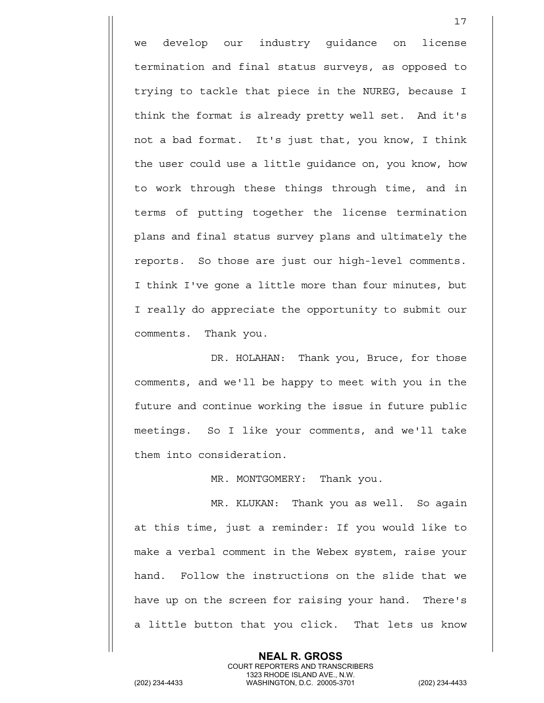we develop our industry guidance on license termination and final status surveys, as opposed to trying to tackle that piece in the NUREG, because I think the format is already pretty well set. And it's not a bad format. It's just that, you know, I think the user could use a little guidance on, you know, how to work through these things through time, and in terms of putting together the license termination plans and final status survey plans and ultimately the reports. So those are just our high-level comments. I think I've gone a little more than four minutes, but I really do appreciate the opportunity to submit our comments. Thank you.

DR. HOLAHAN: Thank you, Bruce, for those comments, and we'll be happy to meet with you in the future and continue working the issue in future public meetings. So I like your comments, and we'll take them into consideration.

MR. MONTGOMERY: Thank you.

MR. KLUKAN: Thank you as well. So again at this time, just a reminder: If you would like to make a verbal comment in the Webex system, raise your hand. Follow the instructions on the slide that we have up on the screen for raising your hand. There's a little button that you click. That lets us know

> **NEAL R. GROSS** COURT REPORTERS AND TRANSCRIBERS

1323 RHODE ISLAND AVE., N.W.<br>WASHINGTON, D.C. 20005-3701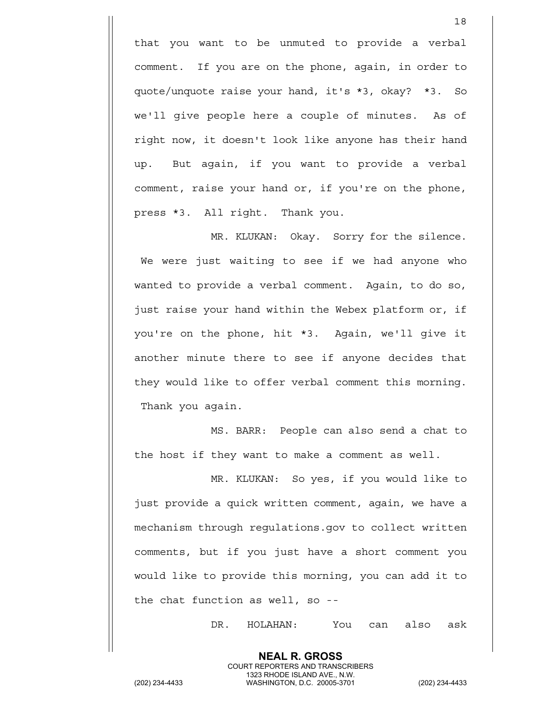that you want to be unmuted to provide a verbal comment. If you are on the phone, again, in order to quote/unquote raise your hand, it's \*3, okay? \*3. So we'll give people here a couple of minutes. As of right now, it doesn't look like anyone has their hand up. But again, if you want to provide a verbal comment, raise your hand or, if you're on the phone, press \*3. All right. Thank you.

MR. KLUKAN: Okay. Sorry for the silence. We were just waiting to see if we had anyone who wanted to provide a verbal comment. Again, to do so, just raise your hand within the Webex platform or, if you're on the phone, hit \*3. Again, we'll give it another minute there to see if anyone decides that they would like to offer verbal comment this morning. Thank you again.

MS. BARR: People can also send a chat to the host if they want to make a comment as well.

MR. KLUKAN: So yes, if you would like to just provide a quick written comment, again, we have a mechanism through regulations.gov to collect written comments, but if you just have a short comment you would like to provide this morning, you can add it to the chat function as well, so --

> **NEAL R. GROSS** COURT REPORTERS AND TRANSCRIBERS

DR. HOLAHAN: You can also ask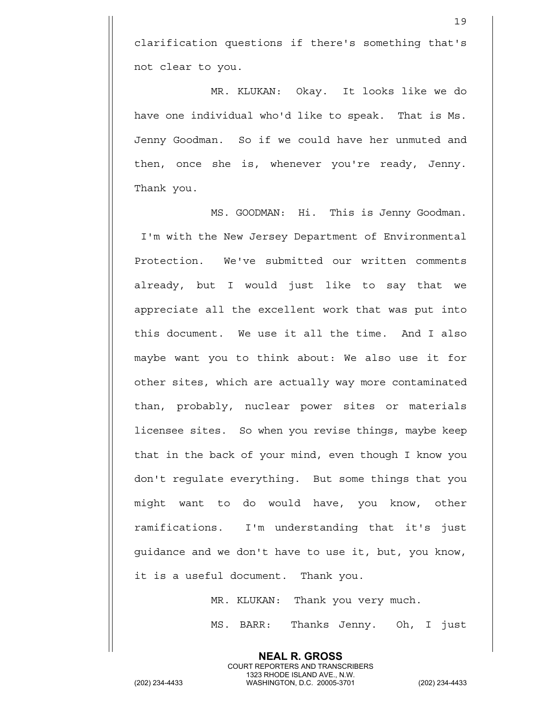clarification questions if there's something that's not clear to you.

MR. KLUKAN: Okay. It looks like we do have one individual who'd like to speak. That is Ms. Jenny Goodman. So if we could have her unmuted and then, once she is, whenever you're ready, Jenny. Thank you.

MS. GOODMAN: Hi. This is Jenny Goodman. I'm with the New Jersey Department of Environmental Protection. We've submitted our written comments already, but I would just like to say that we appreciate all the excellent work that was put into this document. We use it all the time. And I also maybe want you to think about: We also use it for other sites, which are actually way more contaminated than, probably, nuclear power sites or materials licensee sites. So when you revise things, maybe keep that in the back of your mind, even though I know you don't regulate everything. But some things that you might want to do would have, you know, other ramifications. I'm understanding that it's just guidance and we don't have to use it, but, you know, it is a useful document. Thank you.

> MR. KLUKAN: Thank you very much. MS. BARR: Thanks Jenny. Oh, I just

**NEAL R. GROSS** COURT REPORTERS AND TRANSCRIBERS

1323 RHODE ISLAND AVE., N.W.<br>WASHINGTON, D.C. 20005-3701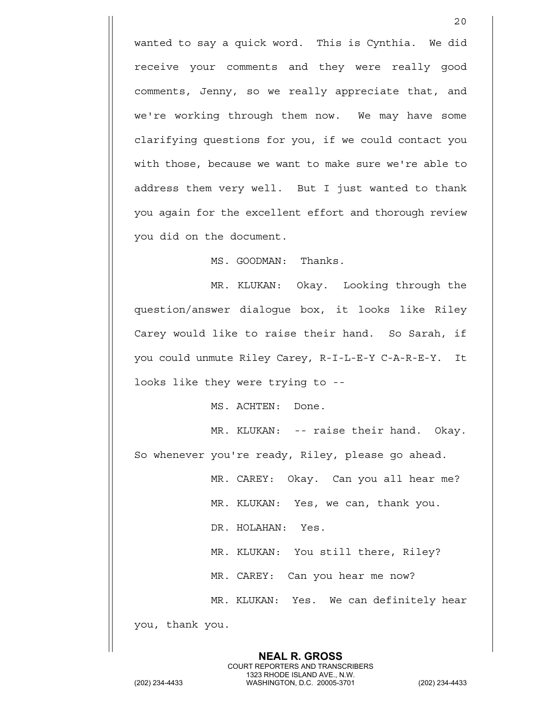wanted to say a quick word. This is Cynthia. We did receive your comments and they were really good comments, Jenny, so we really appreciate that, and we're working through them now. We may have some clarifying questions for you, if we could contact you with those, because we want to make sure we're able to address them very well. But I just wanted to thank you again for the excellent effort and thorough review you did on the document.

MS. GOODMAN: Thanks.

MR. KLUKAN: Okay. Looking through the question/answer dialogue box, it looks like Riley Carey would like to raise their hand. So Sarah, if you could unmute Riley Carey, R-I-L-E-Y C-A-R-E-Y. It looks like they were trying to --

MS. ACHTEN: Done.

MR. KLUKAN: -- raise their hand. Okay. So whenever you're ready, Riley, please go ahead.

> MR. CAREY: Okay. Can you all hear me? MR. KLUKAN: Yes, we can, thank you.

DR. HOLAHAN: Yes.

MR. KLUKAN: You still there, Riley?

MR. CAREY: Can you hear me now?

**NEAL R. GROSS** COURT REPORTERS AND TRANSCRIBERS

MR. KLUKAN: Yes. We can definitely hear

you, thank you.

1323 RHODE ISLAND AVE., N.W.<br>WASHINGTON, D.C. 20005-3701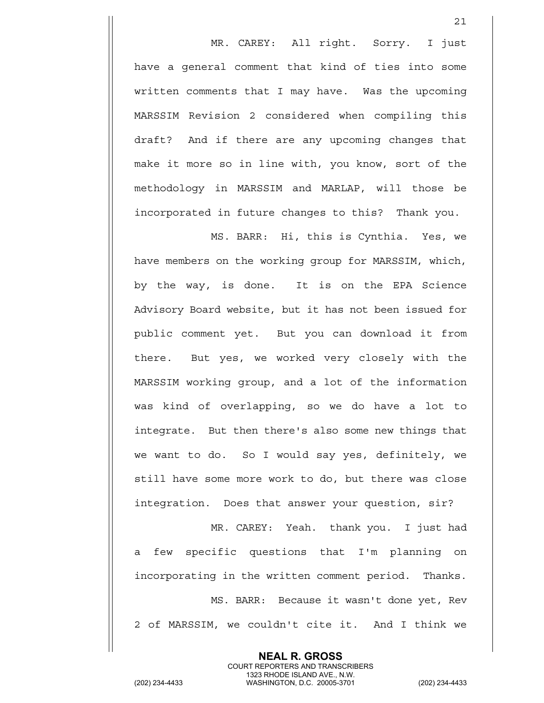MR. CAREY: All right. Sorry. I just have a general comment that kind of ties into some written comments that I may have. Was the upcoming MARSSIM Revision 2 considered when compiling this draft? And if there are any upcoming changes that make it more so in line with, you know, sort of the methodology in MARSSIM and MARLAP, will those be incorporated in future changes to this? Thank you.

21

MS. BARR: Hi, this is Cynthia. Yes, we have members on the working group for MARSSIM, which, by the way, is done. It is on the EPA Science Advisory Board website, but it has not been issued for public comment yet. But you can download it from there. But yes, we worked very closely with the MARSSIM working group, and a lot of the information was kind of overlapping, so we do have a lot to integrate. But then there's also some new things that we want to do. So I would say yes, definitely, we still have some more work to do, but there was close integration. Does that answer your question, sir?

MR. CAREY: Yeah. thank you. I just had a few specific questions that I'm planning on incorporating in the written comment period. Thanks. MS. BARR: Because it wasn't done yet, Rev 2 of MARSSIM, we couldn't cite it. And I think we

> **NEAL R. GROSS** COURT REPORTERS AND TRANSCRIBERS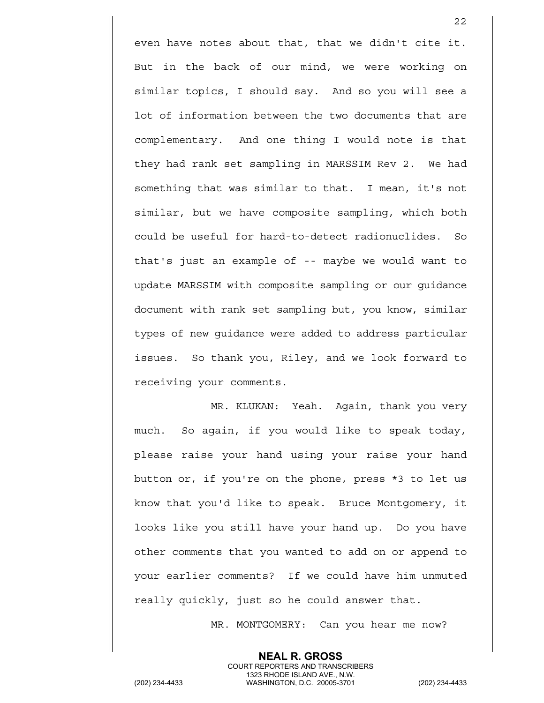even have notes about that, that we didn't cite it. But in the back of our mind, we were working on similar topics, I should say. And so you will see a lot of information between the two documents that are complementary. And one thing I would note is that they had rank set sampling in MARSSIM Rev 2. We had something that was similar to that. I mean, it's not similar, but we have composite sampling, which both could be useful for hard-to-detect radionuclides. So that's just an example of -- maybe we would want to update MARSSIM with composite sampling or our guidance document with rank set sampling but, you know, similar types of new guidance were added to address particular issues. So thank you, Riley, and we look forward to receiving your comments.

<u>22</u>

MR. KLUKAN: Yeah. Again, thank you very much. So again, if you would like to speak today, please raise your hand using your raise your hand button or, if you're on the phone, press \*3 to let us know that you'd like to speak. Bruce Montgomery, it looks like you still have your hand up. Do you have other comments that you wanted to add on or append to your earlier comments? If we could have him unmuted really quickly, just so he could answer that.

> **NEAL R. GROSS** COURT REPORTERS AND TRANSCRIBERS

MR. MONTGOMERY: Can you hear me now?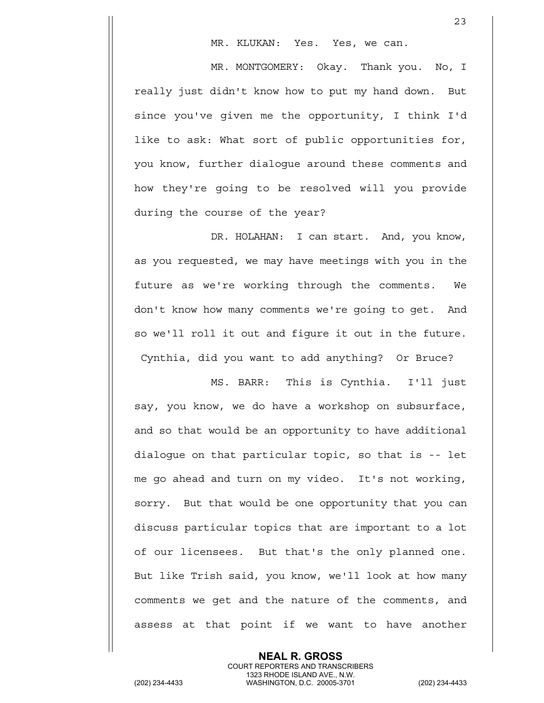MR. KLUKAN: Yes. Yes, we can.

MR. MONTGOMERY: Okay. Thank you. No, I really just didn't know how to put my hand down. But since you've given me the opportunity, I think I'd like to ask: What sort of public opportunities for, you know, further dialogue around these comments and how they're going to be resolved will you provide during the course of the year?

DR. HOLAHAN: I can start. And, you know, as you requested, we may have meetings with you in the future as we're working through the comments. We don't know how many comments we're going to get. And so we'll roll it out and figure it out in the future. Cynthia, did you want to add anything? Or Bruce?

MS. BARR: This is Cynthia. I'll just say, you know, we do have a workshop on subsurface, and so that would be an opportunity to have additional dialogue on that particular topic, so that is -- let me go ahead and turn on my video. It's not working, sorry. But that would be one opportunity that you can discuss particular topics that are important to a lot of our licensees. But that's the only planned one. But like Trish said, you know, we'll look at how many comments we get and the nature of the comments, and assess at that point if we want to have another

**NEAL R. GROSS** COURT REPORTERS AND TRANSCRIBERS 1323 RHODE ISLAND AVE., N.W.<br>WASHINGTON, D.C. 20005-3701 (202) 234-4433 WASHINGTON, D.C. 20005-3701 (202) 234-4433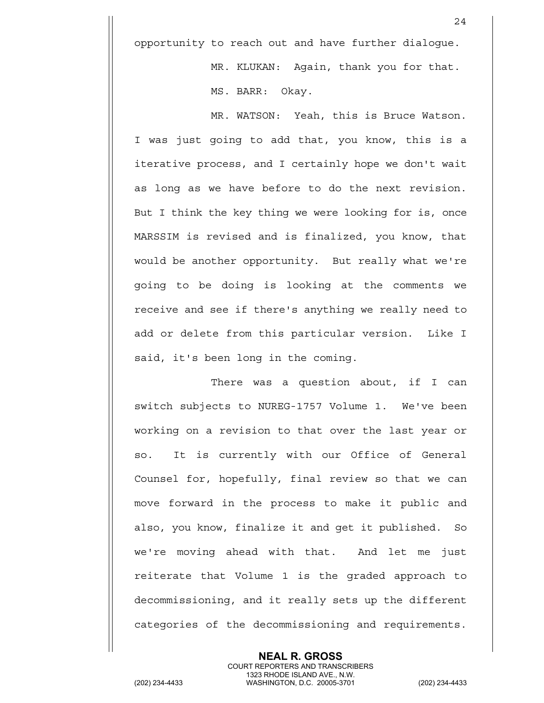opportunity to reach out and have further dialogue.

24

MR. KLUKAN: Again, thank you for that. MS. BARR: Okay.

MR. WATSON: Yeah, this is Bruce Watson. I was just going to add that, you know, this is a iterative process, and I certainly hope we don't wait as long as we have before to do the next revision. But I think the key thing we were looking for is, once MARSSIM is revised and is finalized, you know, that would be another opportunity. But really what we're going to be doing is looking at the comments we receive and see if there's anything we really need to add or delete from this particular version. Like I said, it's been long in the coming.

There was a question about, if I can switch subjects to NUREG-1757 Volume 1. We've been working on a revision to that over the last year or so. It is currently with our Office of General Counsel for, hopefully, final review so that we can move forward in the process to make it public and also, you know, finalize it and get it published. So we're moving ahead with that. And let me just reiterate that Volume 1 is the graded approach to decommissioning, and it really sets up the different categories of the decommissioning and requirements.

**NEAL R. GROSS** COURT REPORTERS AND TRANSCRIBERS 1323 RHODE ISLAND AVE., N.W.<br>WASHINGTON, D.C. 20005-3701 (202) 234-4433 WASHINGTON, D.C. 20005-3701 (202) 234-4433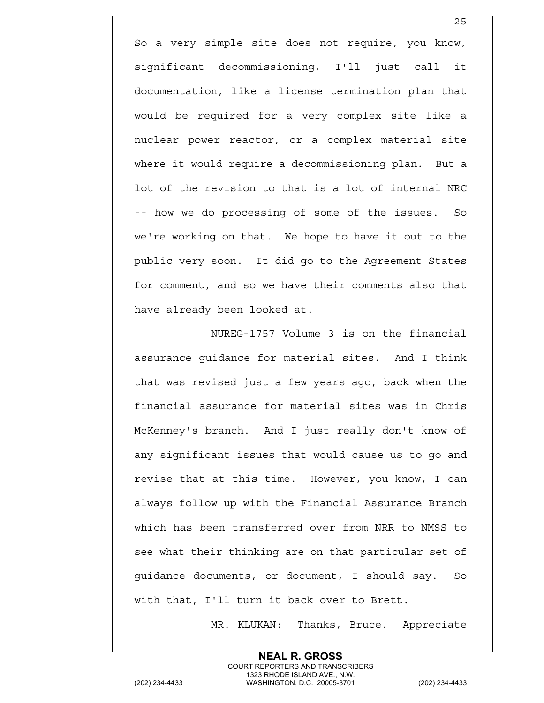So a very simple site does not require, you know, significant decommissioning, I'll just call it documentation, like a license termination plan that would be required for a very complex site like a nuclear power reactor, or a complex material site where it would require a decommissioning plan. But a lot of the revision to that is a lot of internal NRC -- how we do processing of some of the issues. So we're working on that. We hope to have it out to the public very soon. It did go to the Agreement States for comment, and so we have their comments also that have already been looked at.

NUREG-1757 Volume 3 is on the financial assurance guidance for material sites. And I think that was revised just a few years ago, back when the financial assurance for material sites was in Chris McKenney's branch. And I just really don't know of any significant issues that would cause us to go and revise that at this time. However, you know, I can always follow up with the Financial Assurance Branch which has been transferred over from NRR to NMSS to see what their thinking are on that particular set of guidance documents, or document, I should say. So with that, I'll turn it back over to Brett.

MR. KLUKAN: Thanks, Bruce. Appreciate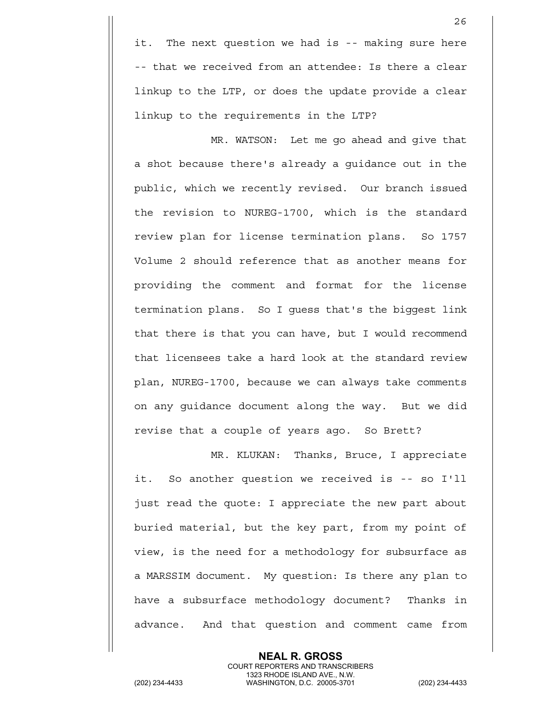it. The next question we had is -- making sure here -- that we received from an attendee: Is there a clear linkup to the LTP, or does the update provide a clear linkup to the requirements in the LTP?

MR. WATSON: Let me go ahead and give that a shot because there's already a guidance out in the public, which we recently revised. Our branch issued the revision to NUREG-1700, which is the standard review plan for license termination plans. So 1757 Volume 2 should reference that as another means for providing the comment and format for the license termination plans. So I guess that's the biggest link that there is that you can have, but I would recommend that licensees take a hard look at the standard review plan, NUREG-1700, because we can always take comments on any guidance document along the way. But we did revise that a couple of years ago. So Brett?

MR. KLUKAN: Thanks, Bruce, I appreciate it. So another question we received is -- so I'll just read the quote: I appreciate the new part about buried material, but the key part, from my point of view, is the need for a methodology for subsurface as a MARSSIM document. My question: Is there any plan to have a subsurface methodology document? Thanks in advance. And that question and comment came from

> **NEAL R. GROSS** COURT REPORTERS AND TRANSCRIBERS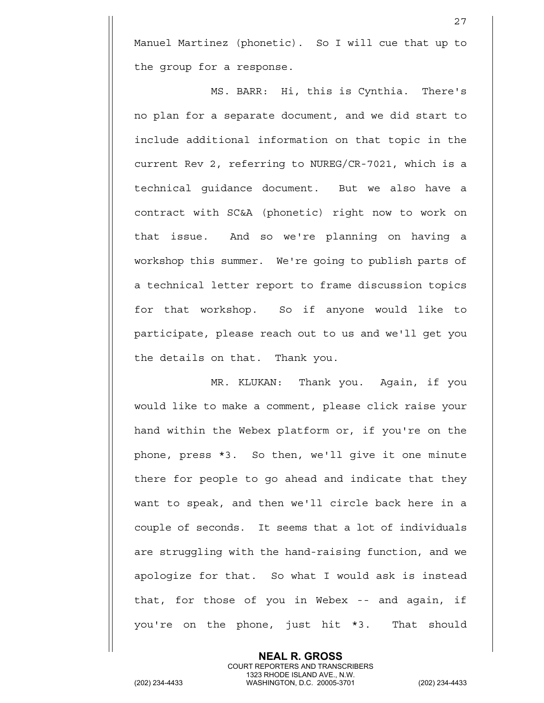Manuel Martinez (phonetic). So I will cue that up to the group for a response.

27

MS. BARR: Hi, this is Cynthia. There's no plan for a separate document, and we did start to include additional information on that topic in the current Rev 2, referring to NUREG/CR-7021, which is a technical guidance document. But we also have a contract with SC&A (phonetic) right now to work on that issue. And so we're planning on having a workshop this summer. We're going to publish parts of a technical letter report to frame discussion topics for that workshop. So if anyone would like to participate, please reach out to us and we'll get you the details on that. Thank you.

MR. KLUKAN: Thank you. Again, if you would like to make a comment, please click raise your hand within the Webex platform or, if you're on the phone, press \*3. So then, we'll give it one minute there for people to go ahead and indicate that they want to speak, and then we'll circle back here in a couple of seconds. It seems that a lot of individuals are struggling with the hand-raising function, and we apologize for that. So what I would ask is instead that, for those of you in Webex -- and again, if you're on the phone, just hit \*3. That should

**NEAL R. GROSS** COURT REPORTERS AND TRANSCRIBERS 1323 RHODE ISLAND AVE., N.W.<br>WASHINGTON, D.C. 20005-3701 (202) 234-4433 WASHINGTON, D.C. 20005-3701 (202) 234-4433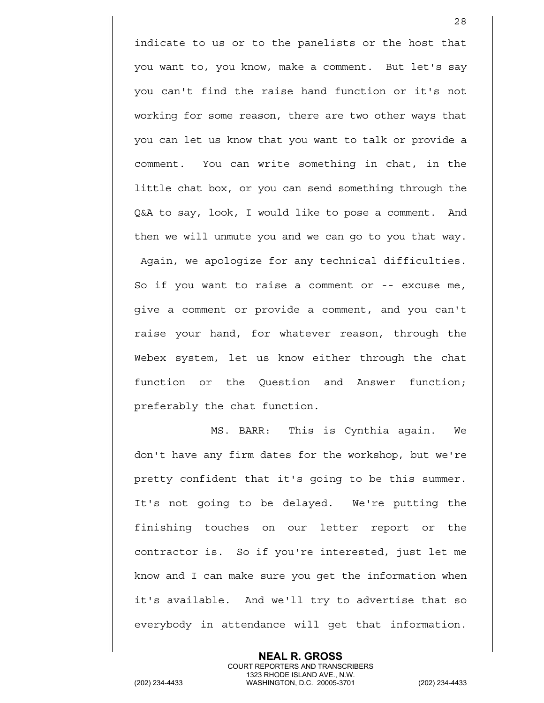indicate to us or to the panelists or the host that you want to, you know, make a comment. But let's say you can't find the raise hand function or it's not working for some reason, there are two other ways that you can let us know that you want to talk or provide a comment. You can write something in chat, in the little chat box, or you can send something through the Q&A to say, look, I would like to pose a comment. And then we will unmute you and we can go to you that way. Again, we apologize for any technical difficulties. So if you want to raise a comment or -- excuse me, give a comment or provide a comment, and you can't raise your hand, for whatever reason, through the Webex system, let us know either through the chat function or the Question and Answer function; preferably the chat function.

MS. BARR: This is Cynthia again. We don't have any firm dates for the workshop, but we're pretty confident that it's going to be this summer. It's not going to be delayed. We're putting the finishing touches on our letter report or the contractor is. So if you're interested, just let me know and I can make sure you get the information when it's available. And we'll try to advertise that so everybody in attendance will get that information.

> **NEAL R. GROSS** COURT REPORTERS AND TRANSCRIBERS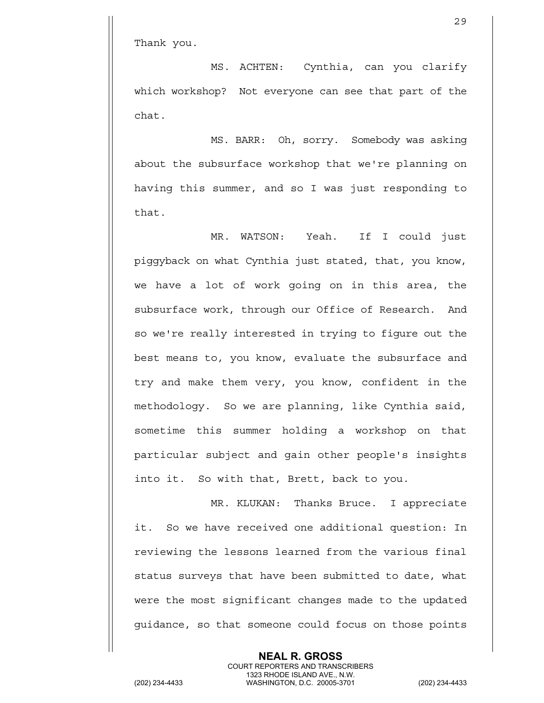Thank you.

MS. ACHTEN: Cynthia, can you clarify which workshop? Not everyone can see that part of the chat.

MS. BARR: Oh, sorry. Somebody was asking about the subsurface workshop that we're planning on having this summer, and so I was just responding to that.

MR. WATSON: Yeah. If I could just piggyback on what Cynthia just stated, that, you know, we have a lot of work going on in this area, the subsurface work, through our Office of Research. And so we're really interested in trying to figure out the best means to, you know, evaluate the subsurface and try and make them very, you know, confident in the methodology. So we are planning, like Cynthia said, sometime this summer holding a workshop on that particular subject and gain other people's insights into it. So with that, Brett, back to you.

MR. KLUKAN: Thanks Bruce. I appreciate it. So we have received one additional question: In reviewing the lessons learned from the various final status surveys that have been submitted to date, what were the most significant changes made to the updated guidance, so that someone could focus on those points

> **NEAL R. GROSS** COURT REPORTERS AND TRANSCRIBERS

1323 RHODE ISLAND AVE., N.W.<br>WASHINGTON, D.C. 20005-3701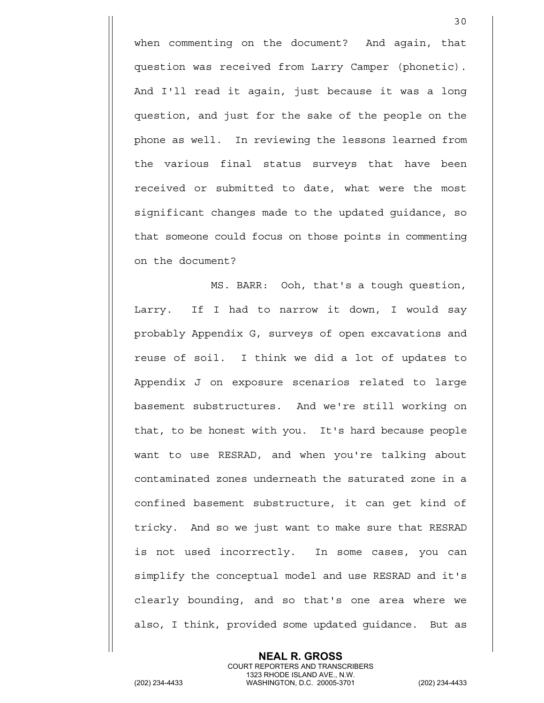when commenting on the document? And again, that question was received from Larry Camper (phonetic). And I'll read it again, just because it was a long question, and just for the sake of the people on the phone as well. In reviewing the lessons learned from the various final status surveys that have been received or submitted to date, what were the most significant changes made to the updated guidance, so that someone could focus on those points in commenting on the document?

30

MS. BARR: Ooh, that's a tough question, Larry. If I had to narrow it down, I would say probably Appendix G, surveys of open excavations and reuse of soil. I think we did a lot of updates to Appendix J on exposure scenarios related to large basement substructures. And we're still working on that, to be honest with you. It's hard because people want to use RESRAD, and when you're talking about contaminated zones underneath the saturated zone in a confined basement substructure, it can get kind of tricky. And so we just want to make sure that RESRAD is not used incorrectly. In some cases, you can simplify the conceptual model and use RESRAD and it's clearly bounding, and so that's one area where we also, I think, provided some updated guidance. But as

> **NEAL R. GROSS** COURT REPORTERS AND TRANSCRIBERS

1323 RHODE ISLAND AVE., N.W.<br>WASHINGTON, D.C. 20005-3701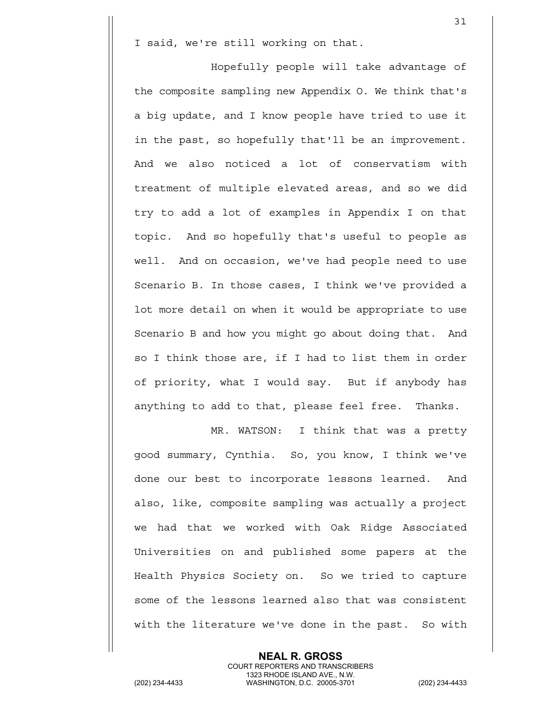I said, we're still working on that.

Hopefully people will take advantage of the composite sampling new Appendix O. We think that's a big update, and I know people have tried to use it in the past, so hopefully that'll be an improvement. And we also noticed a lot of conservatism with treatment of multiple elevated areas, and so we did try to add a lot of examples in Appendix I on that topic. And so hopefully that's useful to people as well. And on occasion, we've had people need to use Scenario B. In those cases, I think we've provided a lot more detail on when it would be appropriate to use Scenario B and how you might go about doing that. And so I think those are, if I had to list them in order of priority, what I would say. But if anybody has anything to add to that, please feel free. Thanks.

MR. WATSON: I think that was a pretty good summary, Cynthia. So, you know, I think we've done our best to incorporate lessons learned. And also, like, composite sampling was actually a project we had that we worked with Oak Ridge Associated Universities on and published some papers at the Health Physics Society on. So we tried to capture some of the lessons learned also that was consistent with the literature we've done in the past. So with

> **NEAL R. GROSS** COURT REPORTERS AND TRANSCRIBERS

1323 RHODE ISLAND AVE., N.W.<br>WASHINGTON, D.C. 20005-3701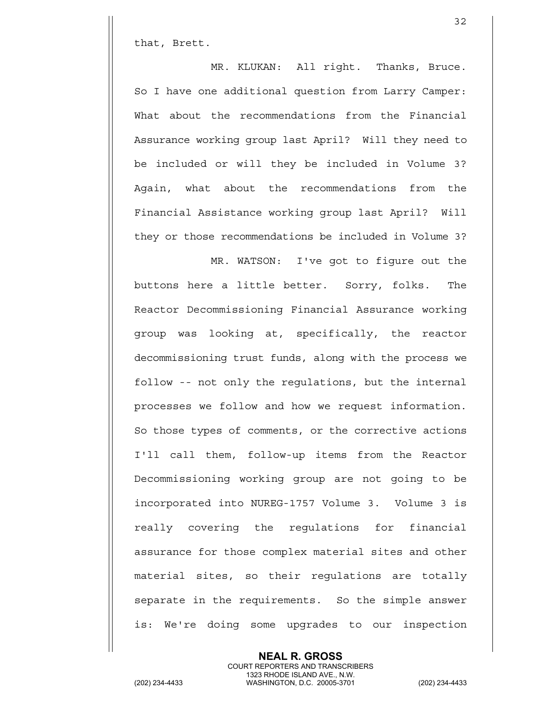that, Brett.

MR. KLUKAN: All right. Thanks, Bruce. So I have one additional question from Larry Camper: What about the recommendations from the Financial Assurance working group last April? Will they need to be included or will they be included in Volume 3? Again, what about the recommendations from the Financial Assistance working group last April? Will they or those recommendations be included in Volume 3?

32

MR. WATSON: I've got to figure out the buttons here a little better. Sorry, folks. The Reactor Decommissioning Financial Assurance working group was looking at, specifically, the reactor decommissioning trust funds, along with the process we follow -- not only the regulations, but the internal processes we follow and how we request information. So those types of comments, or the corrective actions I'll call them, follow-up items from the Reactor Decommissioning working group are not going to be incorporated into NUREG-1757 Volume 3. Volume 3 is really covering the regulations for financial assurance for those complex material sites and other material sites, so their regulations are totally separate in the requirements. So the simple answer is: We're doing some upgrades to our inspection

**NEAL R. GROSS**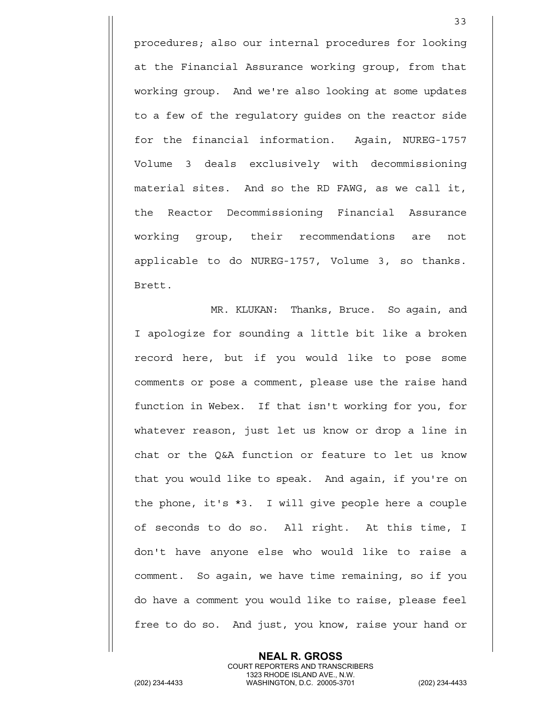procedures; also our internal procedures for looking at the Financial Assurance working group, from that working group. And we're also looking at some updates to a few of the regulatory guides on the reactor side for the financial information. Again, NUREG-1757 Volume 3 deals exclusively with decommissioning material sites. And so the RD FAWG, as we call it, the Reactor Decommissioning Financial Assurance working group, their recommendations are not applicable to do NUREG-1757, Volume 3, so thanks. Brett.

MR. KLUKAN: Thanks, Bruce. So again, and I apologize for sounding a little bit like a broken record here, but if you would like to pose some comments or pose a comment, please use the raise hand function in Webex. If that isn't working for you, for whatever reason, just let us know or drop a line in chat or the Q&A function or feature to let us know that you would like to speak. And again, if you're on the phone, it's \*3. I will give people here a couple of seconds to do so. All right. At this time, I don't have anyone else who would like to raise a comment. So again, we have time remaining, so if you do have a comment you would like to raise, please feel free to do so. And just, you know, raise your hand or

> **NEAL R. GROSS** COURT REPORTERS AND TRANSCRIBERS

1323 RHODE ISLAND AVE., N.W.<br>WASHINGTON, D.C. 20005-3701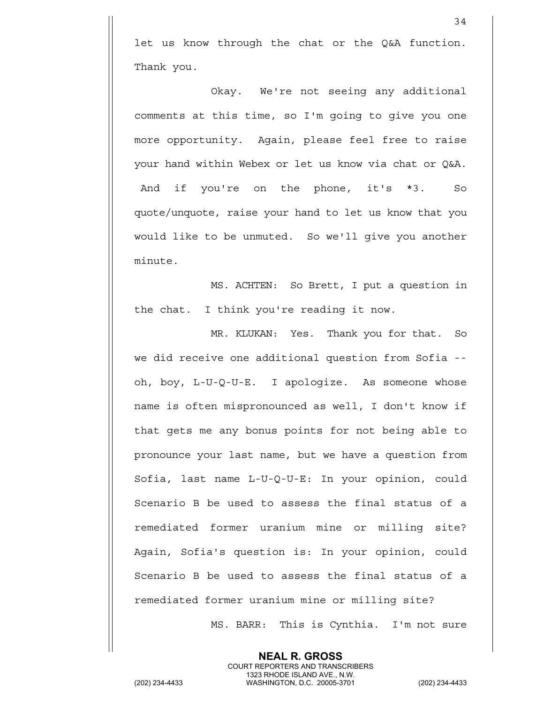let us know through the chat or the Q&A function. Thank you.

Okay. We're not seeing any additional comments at this time, so I'm going to give you one more opportunity. Again, please feel free to raise your hand within Webex or let us know via chat or Q&A. And if you're on the phone, it's \*3. So quote/unquote, raise your hand to let us know that you would like to be unmuted. So we'll give you another minute.

MS. ACHTEN: So Brett, I put a question in the chat. I think you're reading it now.

MR. KLUKAN: Yes. Thank you for that. So we did receive one additional question from Sofia - oh, boy, L-U-Q-U-E. I apologize. As someone whose name is often mispronounced as well, I don't know if that gets me any bonus points for not being able to pronounce your last name, but we have a question from Sofia, last name L-U-Q-U-E: In your opinion, could Scenario B be used to assess the final status of a remediated former uranium mine or milling site? Again, Sofia's question is: In your opinion, could Scenario B be used to assess the final status of a remediated former uranium mine or milling site?

MS. BARR: This is Cynthia. I'm not sure

**NEAL R. GROSS** COURT REPORTERS AND TRANSCRIBERS 1323 RHODE ISLAND AVE., N.W.<br>WASHINGTON, D.C. 20005-3701 (202) 234-4433 WASHINGTON, D.C. 20005-3701 (202) 234-4433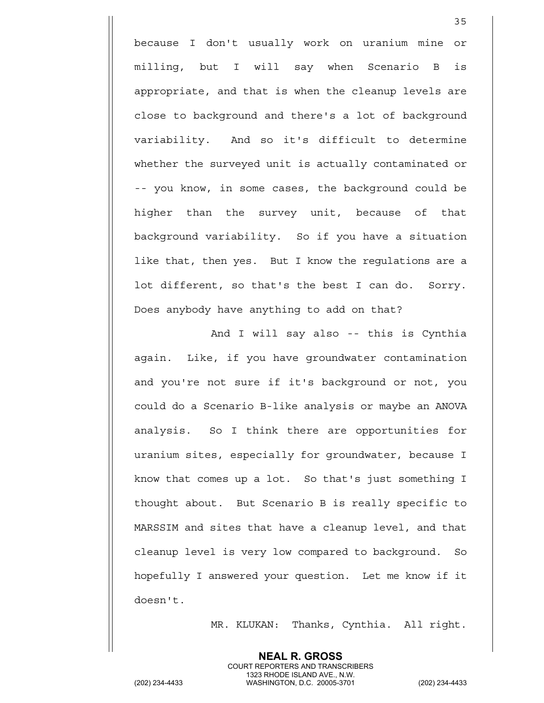because I don't usually work on uranium mine or milling, but I will say when Scenario B is appropriate, and that is when the cleanup levels are close to background and there's a lot of background variability. And so it's difficult to determine whether the surveyed unit is actually contaminated or -- you know, in some cases, the background could be higher than the survey unit, because of that background variability. So if you have a situation like that, then yes. But I know the regulations are a lot different, so that's the best I can do. Sorry. Does anybody have anything to add on that?

And I will say also -- this is Cynthia again. Like, if you have groundwater contamination and you're not sure if it's background or not, you could do a Scenario B-like analysis or maybe an ANOVA analysis. So I think there are opportunities for uranium sites, especially for groundwater, because I know that comes up a lot. So that's just something I thought about. But Scenario B is really specific to MARSSIM and sites that have a cleanup level, and that cleanup level is very low compared to background. So hopefully I answered your question. Let me know if it doesn't.

MR. KLUKAN: Thanks, Cynthia. All right.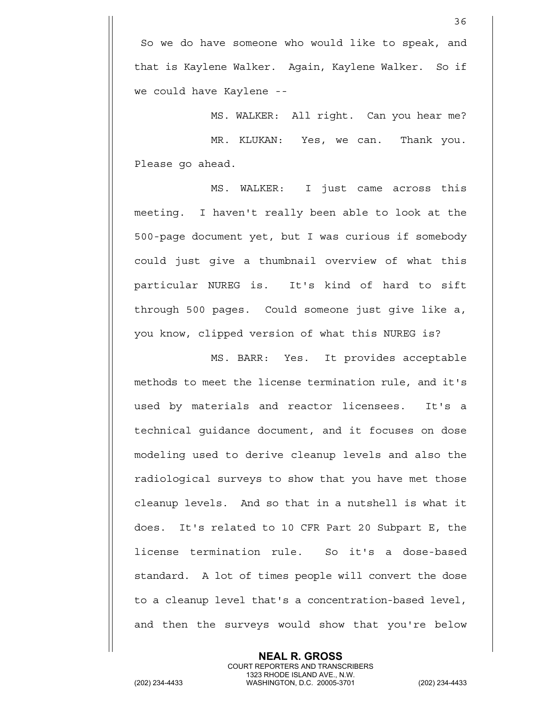36

MS. WALKER: All right. Can you hear me? MR. KLUKAN: Yes, we can. Thank you. Please go ahead.

MS. WALKER: I just came across this meeting. I haven't really been able to look at the 500-page document yet, but I was curious if somebody could just give a thumbnail overview of what this particular NUREG is. It's kind of hard to sift through 500 pages. Could someone just give like a, you know, clipped version of what this NUREG is?

MS. BARR: Yes. It provides acceptable methods to meet the license termination rule, and it's used by materials and reactor licensees. It's a technical guidance document, and it focuses on dose modeling used to derive cleanup levels and also the radiological surveys to show that you have met those cleanup levels. And so that in a nutshell is what it does. It's related to 10 CFR Part 20 Subpart E, the license termination rule. So it's a dose-based standard. A lot of times people will convert the dose to a cleanup level that's a concentration-based level, and then the surveys would show that you're below

> **NEAL R. GROSS** COURT REPORTERS AND TRANSCRIBERS

1323 RHODE ISLAND AVE., N.W.<br>WASHINGTON, D.C. 20005-3701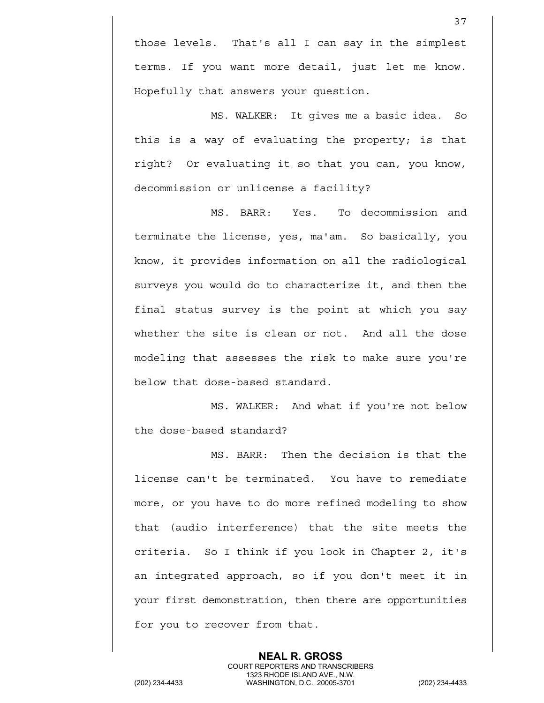those levels. That's all I can say in the simplest terms. If you want more detail, just let me know. Hopefully that answers your question.

MS. WALKER: It gives me a basic idea. So this is a way of evaluating the property; is that right? Or evaluating it so that you can, you know, decommission or unlicense a facility?

MS. BARR: Yes. To decommission and terminate the license, yes, ma'am. So basically, you know, it provides information on all the radiological surveys you would do to characterize it, and then the final status survey is the point at which you say whether the site is clean or not. And all the dose modeling that assesses the risk to make sure you're below that dose-based standard.

MS. WALKER: And what if you're not below the dose-based standard?

MS. BARR: Then the decision is that the license can't be terminated. You have to remediate more, or you have to do more refined modeling to show that (audio interference) that the site meets the criteria. So I think if you look in Chapter 2, it's an integrated approach, so if you don't meet it in your first demonstration, then there are opportunities for you to recover from that.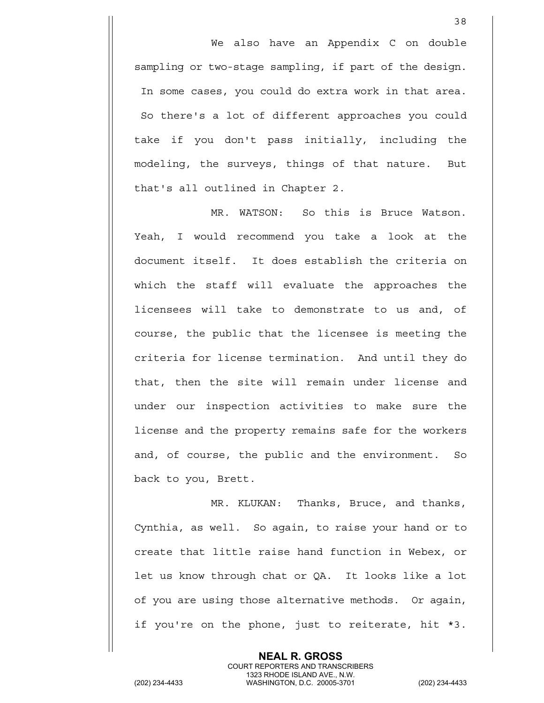We also have an Appendix C on double sampling or two-stage sampling, if part of the design. In some cases, you could do extra work in that area. So there's a lot of different approaches you could take if you don't pass initially, including the modeling, the surveys, things of that nature. But that's all outlined in Chapter 2.

38

MR. WATSON: So this is Bruce Watson. Yeah, I would recommend you take a look at the document itself. It does establish the criteria on which the staff will evaluate the approaches the licensees will take to demonstrate to us and, of course, the public that the licensee is meeting the criteria for license termination. And until they do that, then the site will remain under license and under our inspection activities to make sure the license and the property remains safe for the workers and, of course, the public and the environment. So back to you, Brett.

MR. KLUKAN: Thanks, Bruce, and thanks, Cynthia, as well. So again, to raise your hand or to create that little raise hand function in Webex, or let us know through chat or QA. It looks like a lot of you are using those alternative methods. Or again, if you're on the phone, just to reiterate, hit \*3.

> **NEAL R. GROSS** COURT REPORTERS AND TRANSCRIBERS

1323 RHODE ISLAND AVE., N.W.<br>WASHINGTON, D.C. 20005-3701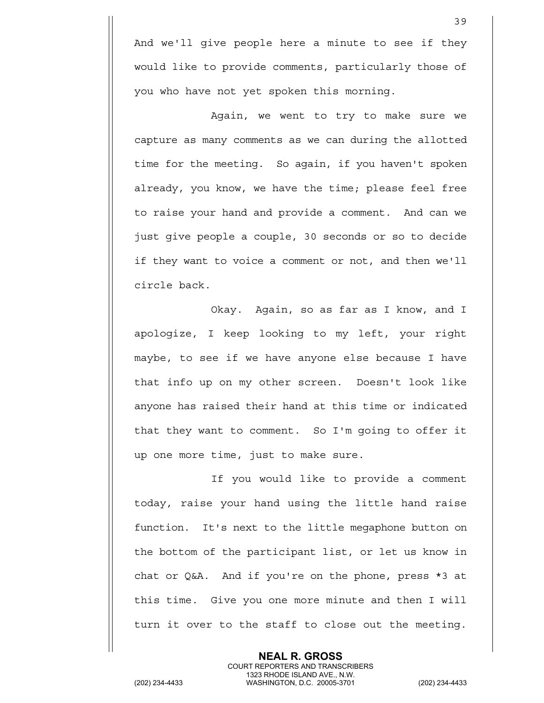And we'll give people here a minute to see if they would like to provide comments, particularly those of you who have not yet spoken this morning.

39

Again, we went to try to make sure we capture as many comments as we can during the allotted time for the meeting. So again, if you haven't spoken already, you know, we have the time; please feel free to raise your hand and provide a comment. And can we just give people a couple, 30 seconds or so to decide if they want to voice a comment or not, and then we'll circle back.

Okay. Again, so as far as I know, and I apologize, I keep looking to my left, your right maybe, to see if we have anyone else because I have that info up on my other screen. Doesn't look like anyone has raised their hand at this time or indicated that they want to comment. So I'm going to offer it up one more time, just to make sure.

If you would like to provide a comment today, raise your hand using the little hand raise function. It's next to the little megaphone button on the bottom of the participant list, or let us know in chat or Q&A. And if you're on the phone, press \*3 at this time. Give you one more minute and then I will turn it over to the staff to close out the meeting.

> **NEAL R. GROSS** COURT REPORTERS AND TRANSCRIBERS

1323 RHODE ISLAND AVE., N.W.<br>WASHINGTON, D.C. 20005-3701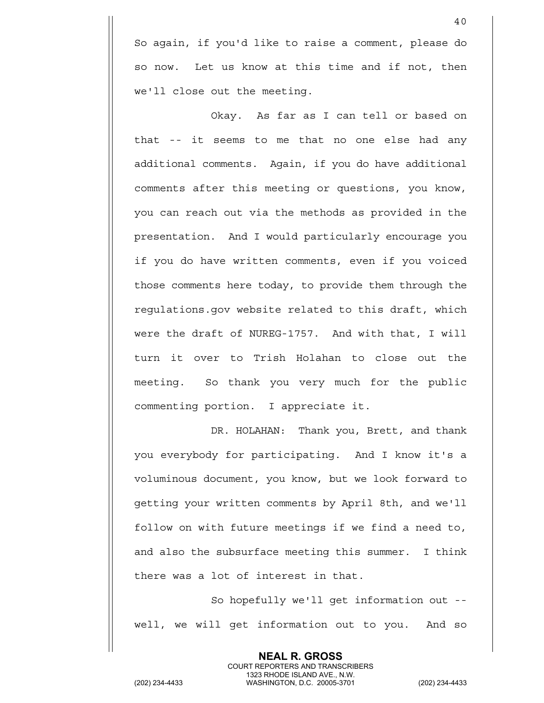So again, if you'd like to raise a comment, please do so now. Let us know at this time and if not, then we'll close out the meeting.

Okay. As far as I can tell or based on that -- it seems to me that no one else had any additional comments. Again, if you do have additional comments after this meeting or questions, you know, you can reach out via the methods as provided in the presentation. And I would particularly encourage you if you do have written comments, even if you voiced those comments here today, to provide them through the regulations.gov website related to this draft, which were the draft of NUREG-1757. And with that, I will turn it over to Trish Holahan to close out the meeting. So thank you very much for the public commenting portion. I appreciate it.

DR. HOLAHAN: Thank you, Brett, and thank you everybody for participating. And I know it's a voluminous document, you know, but we look forward to getting your written comments by April 8th, and we'll follow on with future meetings if we find a need to, and also the subsurface meeting this summer. I think there was a lot of interest in that.

So hopefully we'll get information out - well, we will get information out to you. And so

> **NEAL R. GROSS** COURT REPORTERS AND TRANSCRIBERS

1323 RHODE ISLAND AVE., N.W.<br>WASHINGTON, D.C. 20005-3701